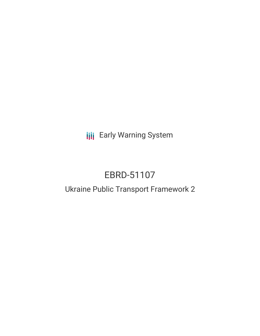**III** Early Warning System

# EBRD-51107

## Ukraine Public Transport Framework 2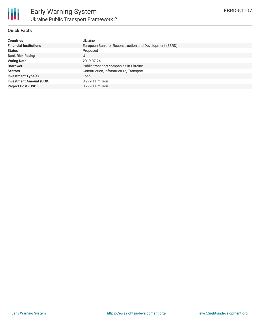

#### **Quick Facts**

| <b>Countries</b>               | Ukraine                                                 |
|--------------------------------|---------------------------------------------------------|
| <b>Financial Institutions</b>  | European Bank for Reconstruction and Development (EBRD) |
| <b>Status</b>                  | Proposed                                                |
| <b>Bank Risk Rating</b>        |                                                         |
| <b>Voting Date</b>             | 2019-07-24                                              |
| <b>Borrower</b>                | Public transport companies in Ukraine                   |
| <b>Sectors</b>                 | Construction, Infrastructure, Transport                 |
| <b>Investment Type(s)</b>      | Loan                                                    |
| <b>Investment Amount (USD)</b> | \$279.11 million                                        |
| <b>Project Cost (USD)</b>      | \$279.11 million                                        |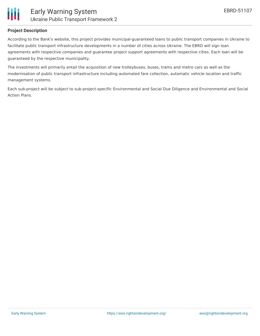

### **Project Description**

According to the Bank's website, this project provides municipal-guaranteed loans to public transport companies in Ukraine to facilitate public transport infrastructure developments in a number of cities across Ukraine. The EBRD will sign loan agreements with respective companies and guarantee project support agreements with respective cities. Each loan will be guaranteed by the respective municipality.

The investments will primarily entail the acquisition of new trolleybuses, buses, trams and metro cars as well as the modernisation of public transport infrastructure including automated fare collection, automatic vehicle location and traffic management systems.

Each sub-project will be subject to sub-project-specific Environmental and Social Due Diligence and Environmental and Social Action Plans.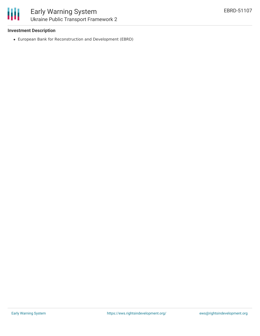#### **Investment Description**

European Bank for Reconstruction and Development (EBRD)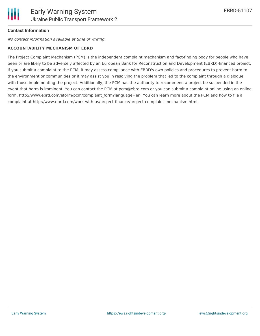#### **Contact Information**

No contact information available at time of writing.

#### **ACCOUNTABILITY MECHANISM OF EBRD**

The Project Complaint Mechanism (PCM) is the independent complaint mechanism and fact-finding body for people who have been or are likely to be adversely affected by an European Bank for Reconstruction and Development (EBRD)-financed project. If you submit a complaint to the PCM, it may assess compliance with EBRD's own policies and procedures to prevent harm to the environment or communities or it may assist you in resolving the problem that led to the complaint through a dialogue with those implementing the project. Additionally, the PCM has the authority to recommend a project be suspended in the event that harm is imminent. You can contact the PCM at pcm@ebrd.com or you can submit a complaint online using an online form, http://www.ebrd.com/eform/pcm/complaint form?language=en. You can learn more about the PCM and how to file a complaint at http://www.ebrd.com/work-with-us/project-finance/project-complaint-mechanism.html.